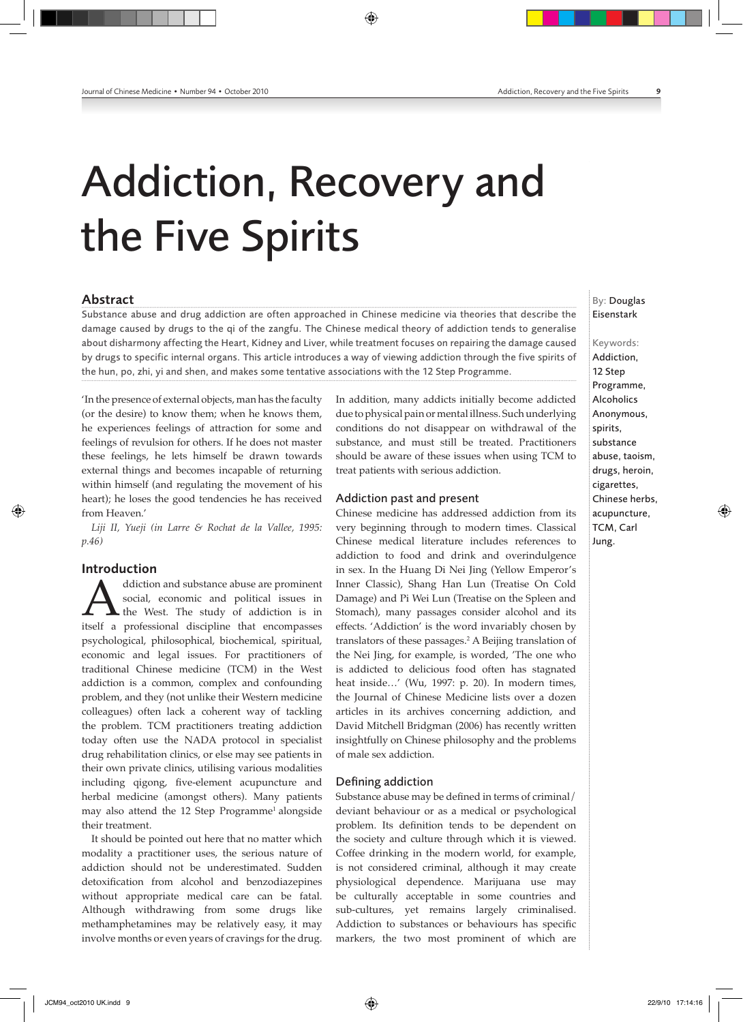## Addiction, Recovery and the Five Spirits

◈

#### Abstract

Substance abuse and drug addiction are often approached in Chinese medicine via theories that describe the damage caused by drugs to the qi of the zangfu. The Chinese medical theory of addiction tends to generalise about disharmony affecting the Heart, Kidney and Liver, while treatment focuses on repairing the damage caused by drugs to specific internal organs. This article introduces a way of viewing addiction through the five spirits of the hun, po, zhi, yi and shen, and makes some tentative associations with the 12 Step Programme.

'In the presence of external objects, man has the faculty (or the desire) to know them; when he knows them, he experiences feelings of attraction for some and feelings of revulsion for others. If he does not master these feelings, he lets himself be drawn towards external things and becomes incapable of returning within himself (and regulating the movement of his heart); he loses the good tendencies he has received from Heaven.'

*Liji II, Yueji (in Larre & Rochat de la Vallee, 1995: p.46)*

#### Introduction

◈

diction and substance abuse are prominent<br>social, economic and political issues in<br>itself a professional discipline that encompasses social, economic and political issues in the West. The study of addiction is in psychological, philosophical, biochemical, spiritual, economic and legal issues. For practitioners of traditional Chinese medicine (TCM) in the West addiction is a common, complex and confounding problem, and they (not unlike their Western medicine colleagues) often lack a coherent way of tackling the problem. TCM practitioners treating addiction today often use the NADA protocol in specialist drug rehabilitation clinics, or else may see patients in their own private clinics, utilising various modalities including qigong, five-element acupuncture and herbal medicine (amongst others). Many patients may also attend the 12 Step Programme<sup>1</sup> alongside their treatment.

It should be pointed out here that no matter which modality a practitioner uses, the serious nature of addiction should not be underestimated. Sudden detoxification from alcohol and benzodiazepines without appropriate medical care can be fatal. Although withdrawing from some drugs like methamphetamines may be relatively easy, it may involve months or even years of cravings for the drug.

In addition, many addicts initially become addicted due to physical pain or mental illness. Such underlying conditions do not disappear on withdrawal of the substance, and must still be treated. Practitioners should be aware of these issues when using TCM to treat patients with serious addiction.

#### Addiction past and present

Chinese medicine has addressed addiction from its very beginning through to modern times. Classical Chinese medical literature includes references to addiction to food and drink and overindulgence in sex. In the Huang Di Nei Jing (Yellow Emperor's Inner Classic), Shang Han Lun (Treatise On Cold Damage) and Pi Wei Lun (Treatise on the Spleen and Stomach), many passages consider alcohol and its effects. 'Addiction' is the word invariably chosen by translators of these passages.2 A Beijing translation of the Nei Jing, for example, is worded, 'The one who is addicted to delicious food often has stagnated heat inside…' (Wu, 1997: p. 20). In modern times, the Journal of Chinese Medicine lists over a dozen articles in its archives concerning addiction, and David Mitchell Bridgman (2006) has recently written insightfully on Chinese philosophy and the problems of male sex addiction.

#### Defining addiction

Substance abuse may be defined in terms of criminal/ deviant behaviour or as a medical or psychological problem. Its definition tends to be dependent on the society and culture through which it is viewed. Coffee drinking in the modern world, for example, is not considered criminal, although it may create physiological dependence. Marijuana use may be culturally acceptable in some countries and sub-cultures, yet remains largely criminalised. Addiction to substances or behaviours has specific markers, the two most prominent of which are

### By: Douglas Eisenstark

Keywords: Addiction, 12 Step Programme, Alcoholics Anonymous, spirits, substance abuse, taoism, drugs, heroin, cigarettes, Chinese herbs, acupuncture, TCM, Carl Jung.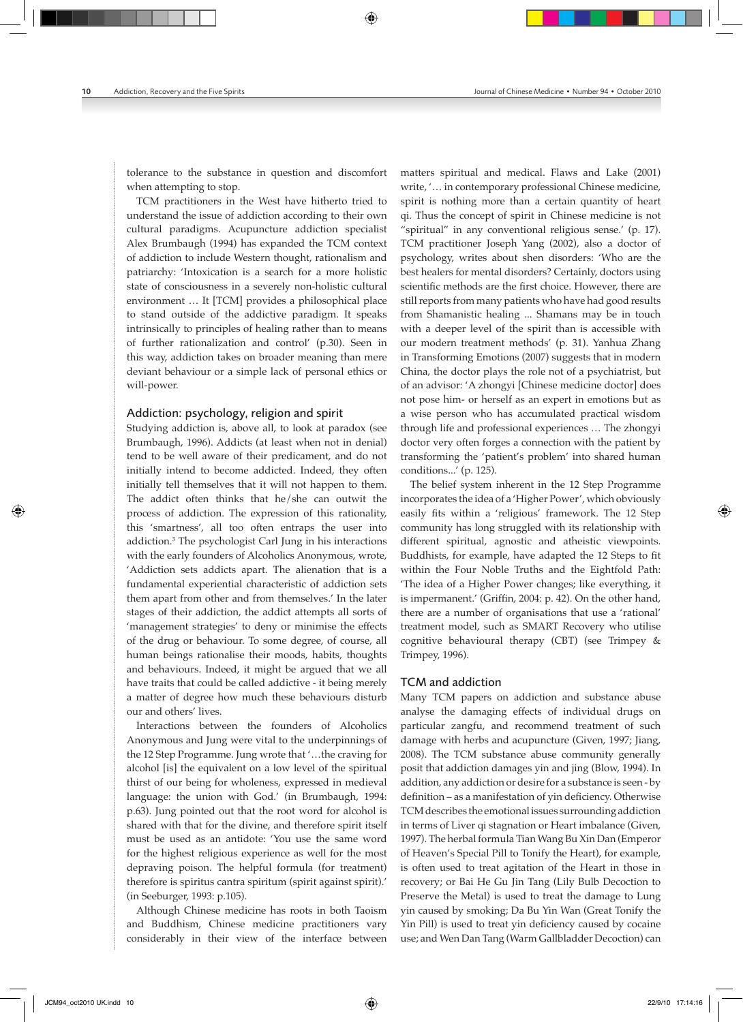tolerance to the substance in question and discomfort when attempting to stop.

TCM practitioners in the West have hitherto tried to understand the issue of addiction according to their own cultural paradigms. Acupuncture addiction specialist Alex Brumbaugh (1994) has expanded the TCM context of addiction to include Western thought, rationalism and patriarchy: 'Intoxication is a search for a more holistic state of consciousness in a severely non-holistic cultural environment … It [TCM] provides a philosophical place to stand outside of the addictive paradigm. It speaks intrinsically to principles of healing rather than to means of further rationalization and control' (p.30). Seen in this way, addiction takes on broader meaning than mere deviant behaviour or a simple lack of personal ethics or will-power.

#### Addiction: psychology, religion and spirit

Studying addiction is, above all, to look at paradox (see Brumbaugh, 1996). Addicts (at least when not in denial) tend to be well aware of their predicament, and do not initially intend to become addicted. Indeed, they often initially tell themselves that it will not happen to them. The addict often thinks that he/she can outwit the process of addiction. The expression of this rationality, this 'smartness', all too often entraps the user into addiction.<sup>3</sup> The psychologist Carl Jung in his interactions with the early founders of Alcoholics Anonymous, wrote, 'Addiction sets addicts apart. The alienation that is a fundamental experiential characteristic of addiction sets them apart from other and from themselves.' In the later stages of their addiction, the addict attempts all sorts of 'management strategies' to deny or minimise the effects of the drug or behaviour. To some degree, of course, all human beings rationalise their moods, habits, thoughts and behaviours. Indeed, it might be argued that we all have traits that could be called addictive - it being merely a matter of degree how much these behaviours disturb our and others' lives.

Interactions between the founders of Alcoholics Anonymous and Jung were vital to the underpinnings of the 12 Step Programme. Jung wrote that '…the craving for alcohol [is] the equivalent on a low level of the spiritual thirst of our being for wholeness, expressed in medieval language: the union with God.' (in Brumbaugh, 1994: p.63). Jung pointed out that the root word for alcohol is shared with that for the divine, and therefore spirit itself must be used as an antidote: 'You use the same word for the highest religious experience as well for the most depraving poison. The helpful formula (for treatment) therefore is spiritus cantra spiritum (spirit against spirit).' (in Seeburger, 1993: p.105).

Although Chinese medicine has roots in both Taoism and Buddhism, Chinese medicine practitioners vary considerably in their view of the interface between matters spiritual and medical. Flaws and Lake (2001) write, '… in contemporary professional Chinese medicine, spirit is nothing more than a certain quantity of heart qi. Thus the concept of spirit in Chinese medicine is not "spiritual" in any conventional religious sense.' (p. 17). TCM practitioner Joseph Yang (2002), also a doctor of psychology, writes about shen disorders: 'Who are the best healers for mental disorders? Certainly, doctors using scientific methods are the first choice. However, there are still reports from many patients who have had good results from Shamanistic healing ... Shamans may be in touch with a deeper level of the spirit than is accessible with our modern treatment methods' (p. 31). Yanhua Zhang in Transforming Emotions (2007) suggests that in modern China, the doctor plays the role not of a psychiatrist, but of an advisor: 'A zhongyi [Chinese medicine doctor] does not pose him‑ or herself as an expert in emotions but as a wise person who has accumulated practical wisdom through life and professional experiences … The zhongyi doctor very often forges a connection with the patient by transforming the 'patient's problem' into shared human conditions...' (p. 125).

The belief system inherent in the 12 Step Programme incorporates the idea of a 'Higher Power', which obviously easily fits within a 'religious' framework. The 12 Step community has long struggled with its relationship with different spiritual, agnostic and atheistic viewpoints. Buddhists, for example, have adapted the 12 Steps to fit within the Four Noble Truths and the Eightfold Path: 'The idea of a Higher Power changes; like everything, it is impermanent.' (Griffin, 2004: p. 42). On the other hand, there are a number of organisations that use a 'rational' treatment model, such as SMART Recovery who utilise cognitive behavioural therapy (CBT) (see Trimpey & Trimpey, 1996).

#### TCM and addiction

Many TCM papers on addiction and substance abuse analyse the damaging effects of individual drugs on particular zangfu, and recommend treatment of such damage with herbs and acupuncture (Given, 1997; Jiang, 2008). The TCM substance abuse community generally posit that addiction damages yin and jing (Blow, 1994). In addition, any addiction or desire for a substance is seen ‑ by definition – as a manifestation of yin deficiency. Otherwise TCM describes the emotional issues surrounding addiction in terms of Liver qi stagnation or Heart imbalance (Given, 1997). The herbal formula Tian Wang Bu Xin Dan (Emperor of Heaven's Special Pill to Tonify the Heart), for example, is often used to treat agitation of the Heart in those in recovery; or Bai He Gu Jin Tang (Lily Bulb Decoction to Preserve the Metal) is used to treat the damage to Lung yin caused by smoking; Da Bu Yin Wan (Great Tonify the Yin Pill) is used to treat yin deficiency caused by cocaine use; and Wen Dan Tang (Warm Gallbladder Decoction) can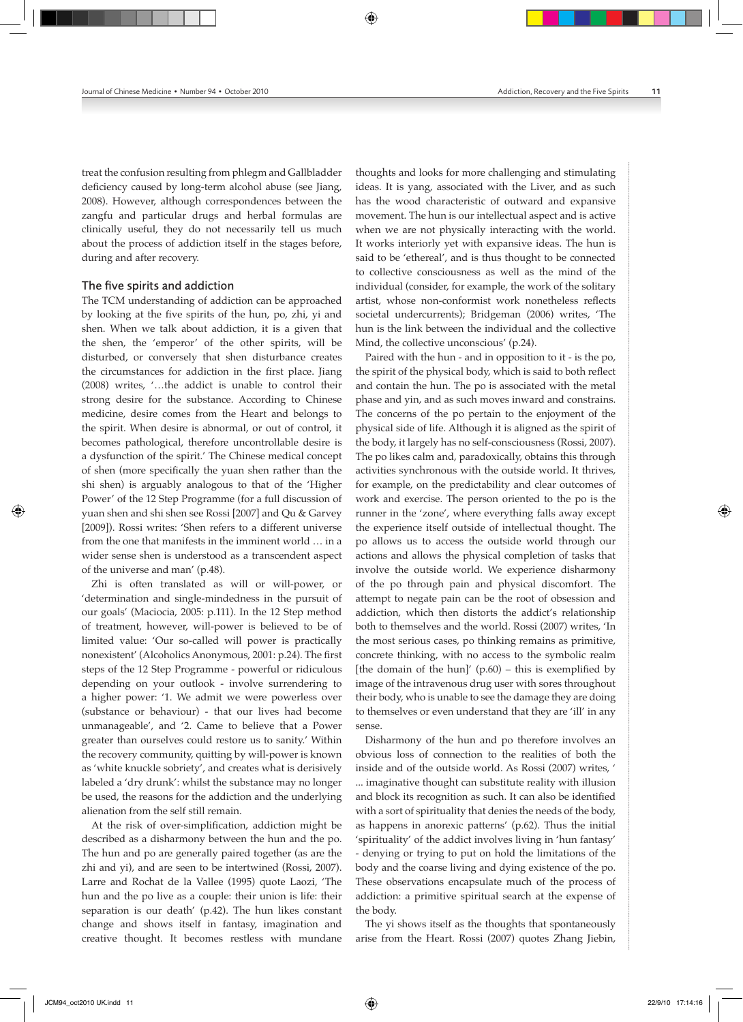treat the confusion resulting from phlegm and Gallbladder deficiency caused by long-term alcohol abuse (see Jiang, 2008). However, although correspondences between the zangfu and particular drugs and herbal formulas are clinically useful, they do not necessarily tell us much about the process of addiction itself in the stages before, during and after recovery.

#### The five spirits and addiction

The TCM understanding of addiction can be approached by looking at the five spirits of the hun, po, zhi, yi and shen. When we talk about addiction, it is a given that the shen, the 'emperor' of the other spirits, will be disturbed, or conversely that shen disturbance creates the circumstances for addiction in the first place. Jiang (2008) writes, '…the addict is unable to control their strong desire for the substance. According to Chinese medicine, desire comes from the Heart and belongs to the spirit. When desire is abnormal, or out of control, it becomes pathological, therefore uncontrollable desire is a dysfunction of the spirit.' The Chinese medical concept of shen (more specifically the yuan shen rather than the shi shen) is arguably analogous to that of the 'Higher Power' of the 12 Step Programme (for a full discussion of yuan shen and shi shen see Rossi [2007] and Qu & Garvey [2009]). Rossi writes: 'Shen refers to a different universe from the one that manifests in the imminent world … in a wider sense shen is understood as a transcendent aspect of the universe and man' (p.48).

Zhi is often translated as will or will-power, or 'determination and single‑mindedness in the pursuit of our goals' (Maciocia, 2005: p.111). In the 12 Step method of treatment, however, will‑power is believed to be of limited value: 'Our so-called will power is practically nonexistent' (Alcoholics Anonymous, 2001: p.24). The first steps of the 12 Step Programme ‑ powerful or ridiculous depending on your outlook ‑ involve surrendering to a higher power: '1. We admit we were powerless over (substance or behaviour) ‑ that our lives had become unmanageable', and '2. Came to believe that a Power greater than ourselves could restore us to sanity.' Within the recovery community, quitting by will-power is known as 'white knuckle sobriety', and creates what is derisively labeled a 'dry drunk': whilst the substance may no longer be used, the reasons for the addiction and the underlying alienation from the self still remain.

At the risk of over-simplification, addiction might be described as a disharmony between the hun and the po. The hun and po are generally paired together (as are the zhi and yi), and are seen to be intertwined (Rossi, 2007). Larre and Rochat de la Vallee (1995) quote Laozi, 'The hun and the po live as a couple: their union is life: their separation is our death' (p.42). The hun likes constant change and shows itself in fantasy, imagination and creative thought. It becomes restless with mundane

thoughts and looks for more challenging and stimulating ideas. It is yang, associated with the Liver, and as such has the wood characteristic of outward and expansive movement. The hun is our intellectual aspect and is active when we are not physically interacting with the world. It works interiorly yet with expansive ideas. The hun is said to be 'ethereal', and is thus thought to be connected to collective consciousness as well as the mind of the individual (consider, for example, the work of the solitary artist, whose non‑conformist work nonetheless reflects societal undercurrents); Bridgeman (2006) writes, 'The hun is the link between the individual and the collective Mind, the collective unconscious' (p.24).

Paired with the hun ‑ and in opposition to it ‑ is the po, the spirit of the physical body, which is said to both reflect and contain the hun. The po is associated with the metal phase and yin, and as such moves inward and constrains. The concerns of the po pertain to the enjoyment of the physical side of life. Although it is aligned as the spirit of the body, it largely has no self-consciousness (Rossi, 2007). The po likes calm and, paradoxically, obtains this through activities synchronous with the outside world. It thrives, for example, on the predictability and clear outcomes of work and exercise. The person oriented to the po is the runner in the 'zone', where everything falls away except the experience itself outside of intellectual thought. The po allows us to access the outside world through our actions and allows the physical completion of tasks that involve the outside world. We experience disharmony of the po through pain and physical discomfort. The attempt to negate pain can be the root of obsession and addiction, which then distorts the addict's relationship both to themselves and the world. Rossi (2007) writes, 'In the most serious cases, po thinking remains as primitive, concrete thinking, with no access to the symbolic realm [the domain of the hun]'  $(p.60)$  – this is exemplified by image of the intravenous drug user with sores throughout their body, who is unable to see the damage they are doing to themselves or even understand that they are 'ill' in any sense.

Disharmony of the hun and po therefore involves an obvious loss of connection to the realities of both the inside and of the outside world. As Rossi (2007) writes, ' ... imaginative thought can substitute reality with illusion and block its recognition as such. It can also be identified with a sort of spirituality that denies the needs of the body, as happens in anorexic patterns' (p.62). Thus the initial 'spirituality' of the addict involves living in 'hun fantasy' ‑ denying or trying to put on hold the limitations of the body and the coarse living and dying existence of the po. These observations encapsulate much of the process of addiction: a primitive spiritual search at the expense of the body.

The yi shows itself as the thoughts that spontaneously arise from the Heart. Rossi (2007) quotes Zhang Jiebin,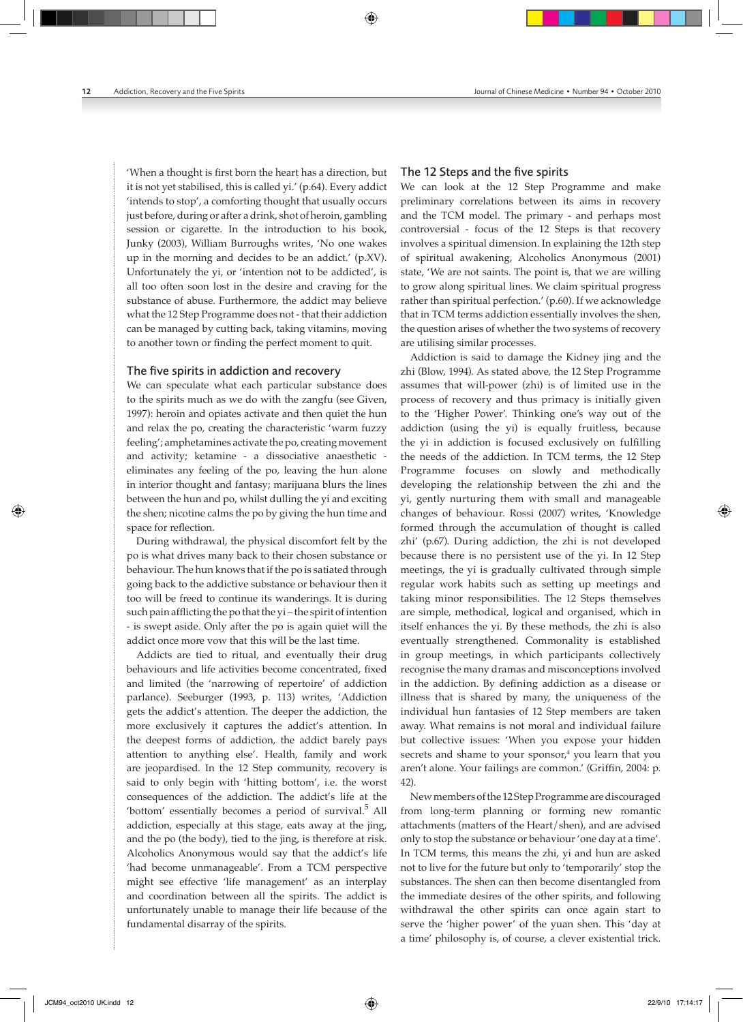'When a thought is first born the heart has a direction, but it is not yet stabilised, this is called yi.' (p.64). Every addict 'intends to stop', a comforting thought that usually occurs just before, during or after a drink, shot of heroin, gambling session or cigarette. In the introduction to his book, Junky (2003), William Burroughs writes, 'No one wakes up in the morning and decides to be an addict.' (p.XV). Unfortunately the yi, or 'intention not to be addicted', is all too often soon lost in the desire and craving for the substance of abuse. Furthermore, the addict may believe what the 12 Step Programme does not ‑ that their addiction can be managed by cutting back, taking vitamins, moving to another town or finding the perfect moment to quit.

#### The five spirits in addiction and recovery

We can speculate what each particular substance does to the spirits much as we do with the zangfu (see Given, 1997): heroin and opiates activate and then quiet the hun and relax the po, creating the characteristic 'warm fuzzy feeling'; amphetamines activate the po, creating movement and activity; ketamine ‑ a dissociative anaesthetic ‑ eliminates any feeling of the po, leaving the hun alone in interior thought and fantasy; marijuana blurs the lines between the hun and po, whilst dulling the yi and exciting the shen; nicotine calms the po by giving the hun time and space for reflection.

During withdrawal, the physical discomfort felt by the po is what drives many back to their chosen substance or behaviour. The hun knows that if the po is satiated through going back to the addictive substance or behaviour then it too will be freed to continue its wanderings. It is during such pain afflicting the po that the yi – the spirit of intention ‑ is swept aside. Only after the po is again quiet will the addict once more vow that this will be the last time.

Addicts are tied to ritual, and eventually their drug behaviours and life activities become concentrated, fixed and limited (the 'narrowing of repertoire' of addiction parlance). Seeburger (1993, p. 113) writes, 'Addiction gets the addict's attention. The deeper the addiction, the more exclusively it captures the addict's attention. In the deepest forms of addiction, the addict barely pays attention to anything else'. Health, family and work are jeopardised. In the 12 Step community, recovery is said to only begin with 'hitting bottom', i.e. the worst consequences of the addiction. The addict's life at the 'bottom' essentially becomes a period of survival.<sup>5</sup> All addiction, especially at this stage, eats away at the jing, and the po (the body), tied to the jing, is therefore at risk. Alcoholics Anonymous would say that the addict's life 'had become unmanageable'. From a TCM perspective might see effective 'life management' as an interplay and coordination between all the spirits. The addict is unfortunately unable to manage their life because of the fundamental disarray of the spirits.

#### The 12 Steps and the five spirits

We can look at the 12 Step Programme and make preliminary correlations between its aims in recovery and the TCM model. The primary ‑ and perhaps most controversial ‑ focus of the 12 Steps is that recovery involves a spiritual dimension. In explaining the 12th step of spiritual awakening, Alcoholics Anonymous (2001) state, 'We are not saints. The point is, that we are willing to grow along spiritual lines. We claim spiritual progress rather than spiritual perfection.' (p.60). If we acknowledge that in TCM terms addiction essentially involves the shen, the question arises of whether the two systems of recovery are utilising similar processes.

Addiction is said to damage the Kidney jing and the zhi (Blow, 1994). As stated above, the 12 Step Programme assumes that will‑power (zhi) is of limited use in the process of recovery and thus primacy is initially given to the 'Higher Power'. Thinking one's way out of the addiction (using the yi) is equally fruitless, because the yi in addiction is focused exclusively on fulfilling the needs of the addiction. In TCM terms, the 12 Step Programme focuses on slowly and methodically developing the relationship between the zhi and the yi, gently nurturing them with small and manageable changes of behaviour. Rossi (2007) writes, 'Knowledge formed through the accumulation of thought is called zhi' (p.67). During addiction, the zhi is not developed because there is no persistent use of the yi. In 12 Step meetings, the yi is gradually cultivated through simple regular work habits such as setting up meetings and taking minor responsibilities. The 12 Steps themselves are simple, methodical, logical and organised, which in itself enhances the yi. By these methods, the zhi is also eventually strengthened. Commonality is established in group meetings, in which participants collectively recognise the many dramas and misconceptions involved in the addiction. By defining addiction as a disease or illness that is shared by many, the uniqueness of the individual hun fantasies of 12 Step members are taken away. What remains is not moral and individual failure but collective issues: 'When you expose your hidden secrets and shame to your sponsor,<sup>4</sup> you learn that you aren't alone. Your failings are common.' (Griffin, 2004: p. 42).

New members of the 12 Step Programme are discouraged from long-term planning or forming new romantic attachments (matters of the Heart/shen), and are advised only to stop the substance or behaviour 'one day at a time'. In TCM terms, this means the zhi, yi and hun are asked not to live for the future but only to 'temporarily' stop the substances. The shen can then become disentangled from the immediate desires of the other spirits, and following withdrawal the other spirits can once again start to serve the 'higher power' of the yuan shen. This 'day at a time' philosophy is, of course, a clever existential trick.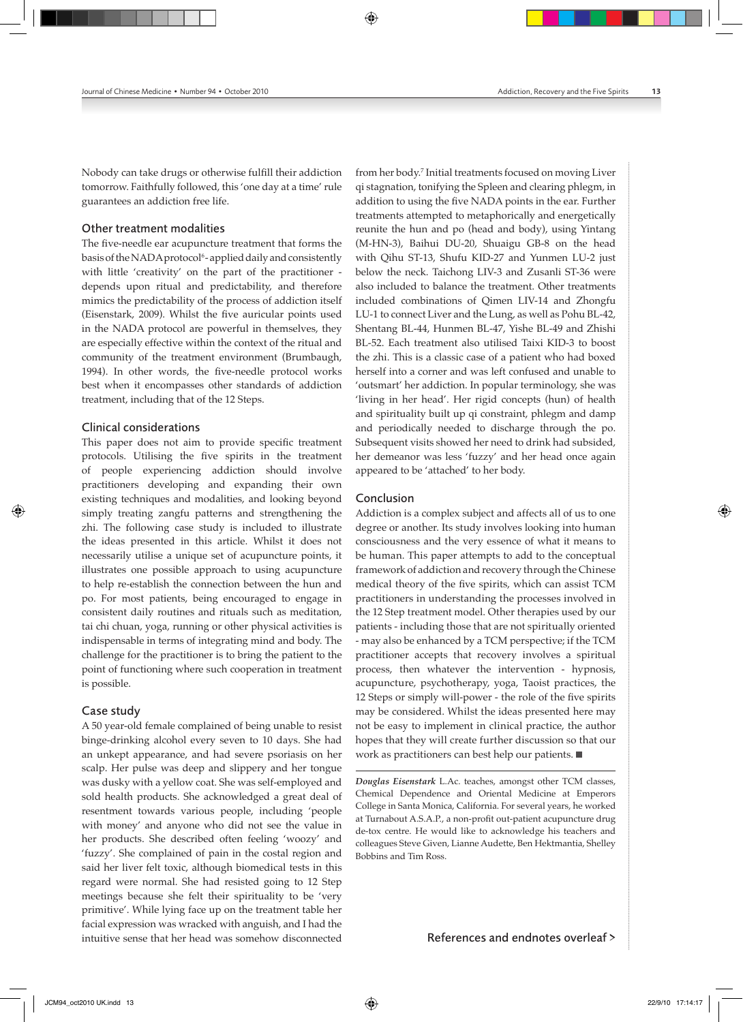Nobody can take drugs or otherwise fulfill their addiction tomorrow. Faithfully followed, this 'one day at a time' rule guarantees an addiction free life.

#### Other treatment modalities

The five-needle ear acupuncture treatment that forms the basis of the NADA protocol<sup>6</sup>-applied daily and consistently with little 'creativity' on the part of the practitioner depends upon ritual and predictability, and therefore mimics the predictability of the process of addiction itself (Eisenstark, 2009). Whilst the five auricular points used in the NADA protocol are powerful in themselves, they are especially effective within the context of the ritual and community of the treatment environment (Brumbaugh, 1994). In other words, the five-needle protocol works best when it encompasses other standards of addiction treatment, including that of the 12 Steps.

#### Clinical considerations

This paper does not aim to provide specific treatment protocols. Utilising the five spirits in the treatment of people experiencing addiction should involve practitioners developing and expanding their own existing techniques and modalities, and looking beyond simply treating zangfu patterns and strengthening the zhi. The following case study is included to illustrate the ideas presented in this article. Whilst it does not necessarily utilise a unique set of acupuncture points, it illustrates one possible approach to using acupuncture to help re‑establish the connection between the hun and po. For most patients, being encouraged to engage in consistent daily routines and rituals such as meditation, tai chi chuan, yoga, running or other physical activities is indispensable in terms of integrating mind and body. The challenge for the practitioner is to bring the patient to the point of functioning where such cooperation in treatment is possible.

#### Case study

A 50 year‑old female complained of being unable to resist binge‑drinking alcohol every seven to 10 days. She had an unkept appearance, and had severe psoriasis on her scalp. Her pulse was deep and slippery and her tongue was dusky with a yellow coat. She was self-employed and sold health products. She acknowledged a great deal of resentment towards various people, including 'people with money' and anyone who did not see the value in her products. She described often feeling 'woozy' and 'fuzzy'. She complained of pain in the costal region and said her liver felt toxic, although biomedical tests in this regard were normal. She had resisted going to 12 Step meetings because she felt their spirituality to be 'very primitive'. While lying face up on the treatment table her facial expression was wracked with anguish, and I had the intuitive sense that her head was somehow disconnected

from her body.7 Initial treatments focused on moving Liver qi stagnation, tonifying the Spleen and clearing phlegm, in addition to using the five NADA points in the ear. Further treatments attempted to metaphorically and energetically reunite the hun and po (head and body), using Yintang (M‑HN‑3), Baihui DU‑20, Shuaigu GB‑8 on the head with Qihu ST‑13, Shufu KID‑27 and Yunmen LU‑2 just below the neck. Taichong LIV‑3 and Zusanli ST‑36 were also included to balance the treatment. Other treatments included combinations of Qimen LIV‑14 and Zhongfu LU-1 to connect Liver and the Lung, as well as Pohu BL-42, Shentang BL‑44, Hunmen BL‑47, Yishe BL‑49 and Zhishi BL‑52. Each treatment also utilised Taixi KID‑3 to boost the zhi. This is a classic case of a patient who had boxed herself into a corner and was left confused and unable to 'outsmart' her addiction. In popular terminology, she was 'living in her head'. Her rigid concepts (hun) of health and spirituality built up qi constraint, phlegm and damp and periodically needed to discharge through the po. Subsequent visits showed her need to drink had subsided, her demeanor was less 'fuzzy' and her head once again appeared to be 'attached' to her body.

#### Conclusion

Addiction is a complex subject and affects all of us to one degree or another. Its study involves looking into human consciousness and the very essence of what it means to be human. This paper attempts to add to the conceptual framework of addiction and recovery through the Chinese medical theory of the five spirits, which can assist TCM practitioners in understanding the processes involved in the 12 Step treatment model. Other therapies used by our patients ‑ including those that are not spiritually oriented ‑ may also be enhanced by a TCM perspective; if the TCM practitioner accepts that recovery involves a spiritual process, then whatever the intervention ‑ hypnosis, acupuncture, psychotherapy, yoga, Taoist practices, the 12 Steps or simply will-power - the role of the five spirits may be considered. Whilst the ideas presented here may not be easy to implement in clinical practice, the author hopes that they will create further discussion so that our work as practitioners can best help our patients.

*Douglas Eisenstark* L.Ac. teaches, amongst other TCM classes, Chemical Dependence and Oriental Medicine at Emperors College in Santa Monica, California. For several years, he worked at Turnabout A.S.A.P., a non‑profit out‑patient acupuncture drug de-tox centre. He would like to acknowledge his teachers and colleagues Steve Given, Lianne Audette, Ben Hektmantia, Shelley Bobbins and Tim Ross.

References and endnotes overleaf >